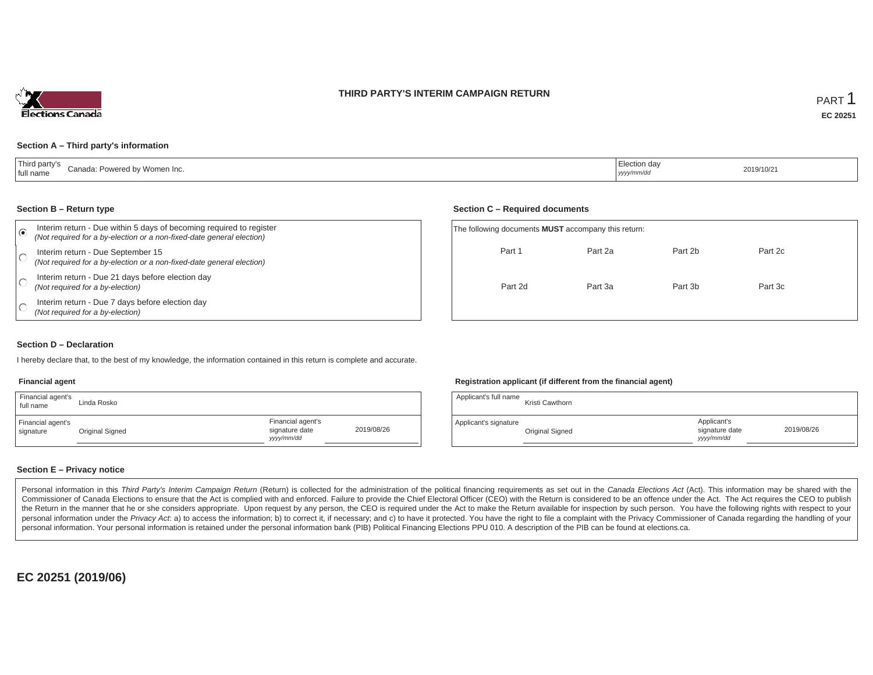### **THIRD PARTY'S INTERIM CAMPAIGN RETURN**



### **Section A – Third party's information**

| $-$ . $-$<br>Canada: Powered by Women Inc.<br>full name<br>the contract of the contract of the contract of the contract of the contract of | Election dav<br>$\overline{\phantom{a}}$<br>yyyy/mm/dc | 2019/10/21 |
|--------------------------------------------------------------------------------------------------------------------------------------------|--------------------------------------------------------|------------|
|--------------------------------------------------------------------------------------------------------------------------------------------|--------------------------------------------------------|------------|

#### **Section B – Return type**

| Interim return - Due within 5 days of becoming required to register<br>(Not required for a by-election or a non-fixed-date general election) | The following documents <b>MUST</b> accompany this return: |         |         |         |  |
|----------------------------------------------------------------------------------------------------------------------------------------------|------------------------------------------------------------|---------|---------|---------|--|
| Interim return - Due September 15<br>(Not required for a by-election or a non-fixed-date general election)                                   | Part 1                                                     | Part 2a | Part 2b | Part 2c |  |
| Interim return - Due 21 days before election day<br>(Not required for a by-election)                                                         | Part 2d                                                    | Part 3a | Part 3b | Part 3c |  |
| Interim return - Due 7 days before election day<br>(Not required for a by-election)                                                          |                                                            |         |         |         |  |

### **Section D – Declaration**

I hereby declare that, to the best of my knowledge, the information contained in this return is complete and accurate.

#### **Financial agent**

| Financial agent's<br>full name | Linda Rosko     |                                                   |            | Applicant's full name | Kristi Cawthorn        |
|--------------------------------|-----------------|---------------------------------------------------|------------|-----------------------|------------------------|
| Financial agent's<br>signature | Original Signed | Financial agent's<br>signature date<br>yyyy/mm/dd | 2019/08/26 | Applicant's signature | <b>Original Signed</b> |

### **Registration applicant (if different from the financial agent)**

**Section C – Required documents**

| Linda Rosko     |                                                   |            | Applicant's full name | Kristi Cawthorn |                                             |            |
|-----------------|---------------------------------------------------|------------|-----------------------|-----------------|---------------------------------------------|------------|
| Original Signed | Financial agent's<br>signature date<br>yyyy/mm/dd | 2019/08/26 | Applicant's signature | Original Signed | Applicant's<br>signature date<br>yyyy/mm/dd | 2019/08/26 |

### **Section E – Privacy notice**

Personal information in this Third Party's Interim Campaign Return (Return) is collected for the administration of the political financing requirements as set out in the Canada Elections Act (Act). This information may be Commissioner of Canada Elections to ensure that the Act is complied with and enforced. Failure to provide the Chief Electoral Officer (CEO) with the Return is considered to be an offence under the Act. The Act requires the the Return in the manner that he or she considers appropriate. Upon request by any person, the CEO is required under the Act to make the Return available for inspection by such person. You have the following rights with re personal information under the Privacy Act. a) to access the information; b) to correct it, if necessary; and c) to have it protected. You have the right to file a complaint with the Privacy Commissioner of Canada regardin personal information. Your personal information is retained under the personal information bank (PIB) Political Financing Elections PPU 010. A description of the PIB can be found at elections.ca.

**EC 20251 (2019/06)**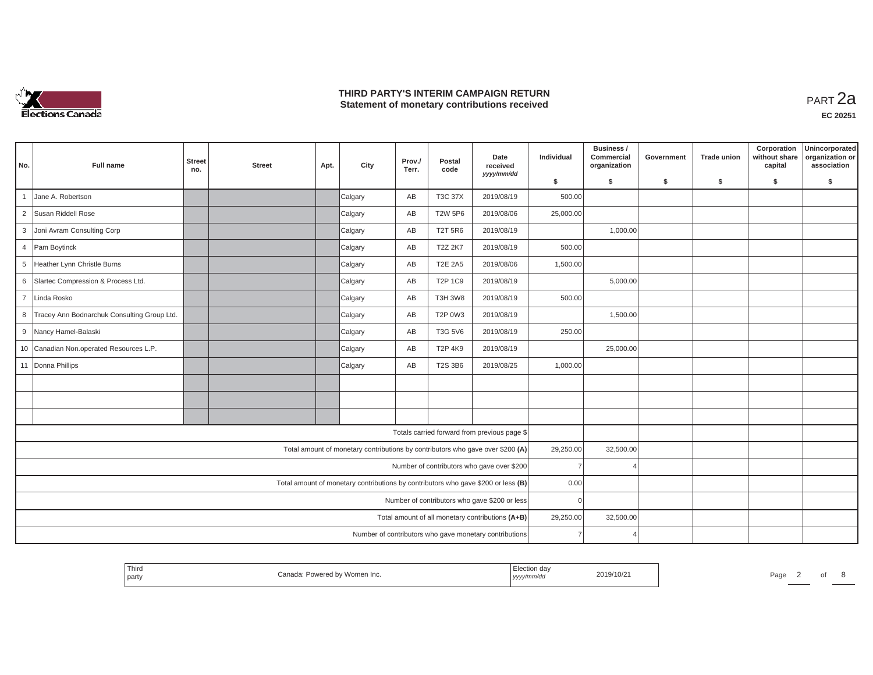

## **THIRD PARTY'S INTERIM CAMPAIGN RETURN THIRD PARTY'S INTERIM CAMPAIGN RETURN<br>Statement of monetary contributions received**

| No.            | <b>Full name</b>                              | <b>Street</b><br>no. | <b>Street</b> | Apt. | City                                                                              | Prov./<br>Terr. | Postal<br>code | Date<br>received<br>yyyy/mm/dd                         | Individual     | Business /<br>Commercial<br>organization | Government | <b>Trade union</b> | Corporation<br>without share<br>capital | Unincorporated<br>organization or<br>association |
|----------------|-----------------------------------------------|----------------------|---------------|------|-----------------------------------------------------------------------------------|-----------------|----------------|--------------------------------------------------------|----------------|------------------------------------------|------------|--------------------|-----------------------------------------|--------------------------------------------------|
|                |                                               |                      |               |      |                                                                                   |                 |                |                                                        | \$             | s.                                       | \$         | \$                 | \$                                      | \$                                               |
| $\overline{1}$ | Jane A. Robertson                             |                      |               |      | Calgary                                                                           | AB              | T3C 37X        | 2019/08/19                                             | 500.00         |                                          |            |                    |                                         |                                                  |
|                | 2 Susan Riddell Rose                          |                      |               |      | Calgary                                                                           | AB              | <b>T2W 5P6</b> | 2019/08/06                                             | 25,000.00      |                                          |            |                    |                                         |                                                  |
|                | 3 Joni Avram Consulting Corp                  |                      |               |      | Calgary                                                                           | AB              | <b>T2T 5R6</b> | 2019/08/19                                             |                | 1,000.00                                 |            |                    |                                         |                                                  |
|                | 4 Pam Boytinck                                |                      |               |      | Calgary                                                                           | AB              | T2Z 2K7        | 2019/08/19                                             | 500.00         |                                          |            |                    |                                         |                                                  |
| 5 <sup>5</sup> | Heather Lynn Christle Burns                   |                      |               |      | Calgary                                                                           | AB              | <b>T2E 2A5</b> | 2019/08/06                                             | 1,500.00       |                                          |            |                    |                                         |                                                  |
| 6              | Slartec Compression & Process Ltd.            |                      |               |      | Calgary                                                                           | AB              | <b>T2P 1C9</b> | 2019/08/19                                             |                | 5,000.00                                 |            |                    |                                         |                                                  |
| $\overline{7}$ | Linda Rosko                                   |                      |               |      | Calgary                                                                           | AB              | <b>T3H 3W8</b> | 2019/08/19                                             | 500.00         |                                          |            |                    |                                         |                                                  |
|                | 8 Tracey Ann Bodnarchuk Consulting Group Ltd. |                      |               |      | Calgary                                                                           | AB              | <b>T2P 0W3</b> | 2019/08/19                                             |                | 1,500.00                                 |            |                    |                                         |                                                  |
|                | 9 Nancy Hamel-Balaski                         |                      |               |      | Calgary                                                                           | AB              | T3G 5V6        | 2019/08/19                                             | 250.00         |                                          |            |                    |                                         |                                                  |
|                | 10 Canadian Non.operated Resources L.P.       |                      |               |      | Calgary                                                                           | AB              | <b>T2P 4K9</b> | 2019/08/19                                             |                | 25,000.00                                |            |                    |                                         |                                                  |
|                | 11 Donna Phillips                             |                      |               |      | Calgary                                                                           | AB              | <b>T2S 3B6</b> | 2019/08/25                                             | 1,000.00       |                                          |            |                    |                                         |                                                  |
|                |                                               |                      |               |      |                                                                                   |                 |                |                                                        |                |                                          |            |                    |                                         |                                                  |
|                |                                               |                      |               |      |                                                                                   |                 |                |                                                        |                |                                          |            |                    |                                         |                                                  |
|                |                                               |                      |               |      |                                                                                   |                 |                |                                                        |                |                                          |            |                    |                                         |                                                  |
|                |                                               |                      |               |      |                                                                                   |                 |                | Totals carried forward from previous page \$           |                |                                          |            |                    |                                         |                                                  |
|                |                                               |                      |               |      | Total amount of monetary contributions by contributors who gave over \$200 (A)    |                 |                |                                                        | 29,250.00      | 32,500.00                                |            |                    |                                         |                                                  |
|                |                                               |                      |               |      |                                                                                   |                 |                | Number of contributors who gave over \$200             | $\overline{7}$ |                                          |            |                    |                                         |                                                  |
|                |                                               |                      |               |      | Total amount of monetary contributions by contributors who gave \$200 or less (B) |                 |                |                                                        | 0.00           |                                          |            |                    |                                         |                                                  |
|                |                                               |                      |               |      |                                                                                   |                 |                | Number of contributors who gave \$200 or less          | $\Omega$       |                                          |            |                    |                                         |                                                  |
|                |                                               |                      |               |      |                                                                                   |                 |                | Total amount of all monetary contributions (A+B)       | 29,250.00      | 32,500.00                                |            |                    |                                         |                                                  |
|                |                                               |                      |               |      |                                                                                   |                 |                | Number of contributors who gave monetary contributions | $\overline{7}$ |                                          |            |                    |                                         |                                                  |

| $- \cdot$<br>party | l hird | → Powered by Women Inc.<br>Canada | <b>STATE OF BUILDING</b><br>.<br>"/mm/au<br>  <i>yyyy</i> | 2019/10/21 | Page |  |  |  |  |
|--------------------|--------|-----------------------------------|-----------------------------------------------------------|------------|------|--|--|--|--|
|--------------------|--------|-----------------------------------|-----------------------------------------------------------|------------|------|--|--|--|--|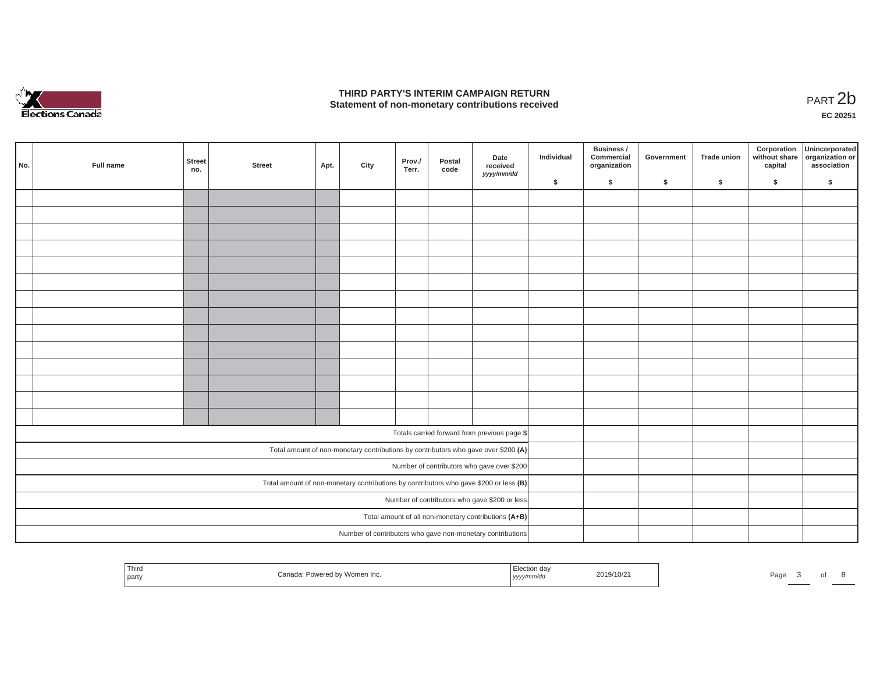

## **THIRD PARTY'S INTERIM CAMPAIGN RETURN**  THIRD PARTY'S INTERIM CAMPAIGN RETURN<br>Statement of non-monetary contributions received **PART 2b**

**EC 20251**

| No. |                                                      | Full name | <b>Street</b><br>no. | <b>Street</b> | Apt. | City | Prov./<br>Terr. | Postal<br>code | Date<br>received<br>yyyy/mm/dd                                                        | Individual | Business /<br>Commercial<br>organization | Government | Trade union | Corporation<br>without share<br>capital | Unincorporated<br>organization or<br>association |
|-----|------------------------------------------------------|-----------|----------------------|---------------|------|------|-----------------|----------------|---------------------------------------------------------------------------------------|------------|------------------------------------------|------------|-------------|-----------------------------------------|--------------------------------------------------|
|     |                                                      |           |                      |               |      |      |                 |                |                                                                                       | \$         | \$                                       | \$         | $\sqrt{2}$  | \$                                      | \$                                               |
|     |                                                      |           |                      |               |      |      |                 |                |                                                                                       |            |                                          |            |             |                                         |                                                  |
|     |                                                      |           |                      |               |      |      |                 |                |                                                                                       |            |                                          |            |             |                                         |                                                  |
|     |                                                      |           |                      |               |      |      |                 |                |                                                                                       |            |                                          |            |             |                                         |                                                  |
|     |                                                      |           |                      |               |      |      |                 |                |                                                                                       |            |                                          |            |             |                                         |                                                  |
|     |                                                      |           |                      |               |      |      |                 |                |                                                                                       |            |                                          |            |             |                                         |                                                  |
|     |                                                      |           |                      |               |      |      |                 |                |                                                                                       |            |                                          |            |             |                                         |                                                  |
|     |                                                      |           |                      |               |      |      |                 |                |                                                                                       |            |                                          |            |             |                                         |                                                  |
|     |                                                      |           |                      |               |      |      |                 |                |                                                                                       |            |                                          |            |             |                                         |                                                  |
|     |                                                      |           |                      |               |      |      |                 |                |                                                                                       |            |                                          |            |             |                                         |                                                  |
|     |                                                      |           |                      |               |      |      |                 |                |                                                                                       |            |                                          |            |             |                                         |                                                  |
|     |                                                      |           |                      |               |      |      |                 |                |                                                                                       |            |                                          |            |             |                                         |                                                  |
|     |                                                      |           |                      |               |      |      |                 |                |                                                                                       |            |                                          |            |             |                                         |                                                  |
|     |                                                      |           |                      |               |      |      |                 |                |                                                                                       |            |                                          |            |             |                                         |                                                  |
|     |                                                      |           |                      |               |      |      |                 |                |                                                                                       |            |                                          |            |             |                                         |                                                  |
|     |                                                      |           |                      |               |      |      |                 |                | Totals carried forward from previous page \$                                          |            |                                          |            |             |                                         |                                                  |
|     |                                                      |           |                      |               |      |      |                 |                | Total amount of non-monetary contributions by contributors who gave over \$200 (A)    |            |                                          |            |             |                                         |                                                  |
|     |                                                      |           |                      |               |      |      |                 |                | Number of contributors who gave over \$200                                            |            |                                          |            |             |                                         |                                                  |
|     |                                                      |           |                      |               |      |      |                 |                | Total amount of non-monetary contributions by contributors who gave \$200 or less (B) |            |                                          |            |             |                                         |                                                  |
|     |                                                      |           |                      |               |      |      |                 |                | Number of contributors who gave \$200 or less                                         |            |                                          |            |             |                                         |                                                  |
|     | Total amount of all non-monetary contributions (A+B) |           |                      |               |      |      |                 |                |                                                                                       |            |                                          |            |             |                                         |                                                  |
|     |                                                      |           |                      |               |      |      |                 |                | Number of contributors who gave non-monetary contributions                            |            |                                          |            |             |                                         |                                                  |

| Third<br>Powered by Women Inc.<br>Canada:<br>party | – I∾∽uon dav<br>2019/10/21<br>711111V OC<br>,,,,, | Page<br>_______ |
|----------------------------------------------------|---------------------------------------------------|-----------------|
|----------------------------------------------------|---------------------------------------------------|-----------------|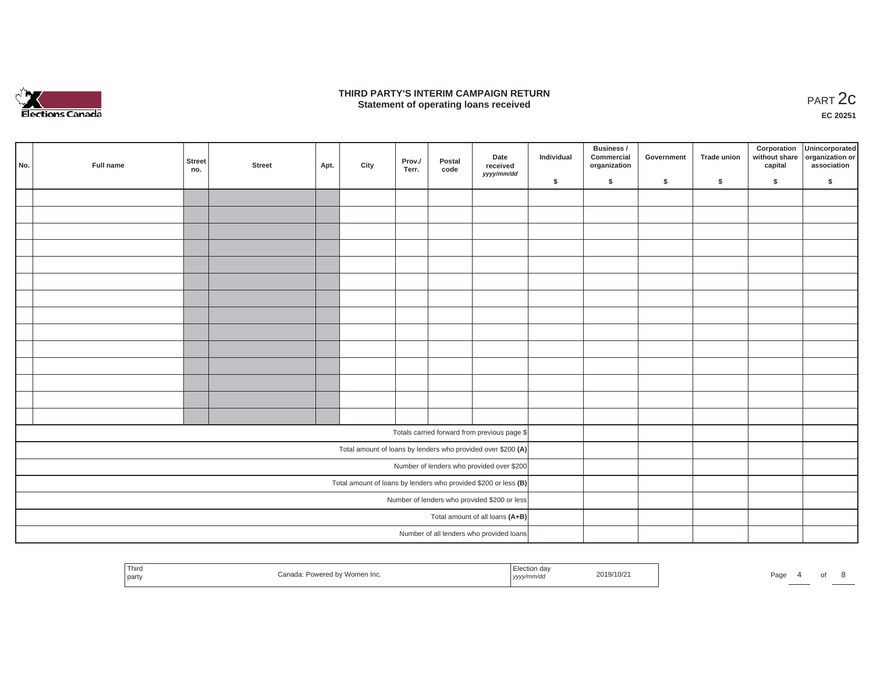

### **THIRD PARTY'S INTERIM CAMPAIGN RETURN**  RD PARTY'S INTERIM CAMPAIGN RETURN<br>Statement of operating loans received **PART 2c**

**EC 20251**

|     |                                 |               |        |      |      |                 |                |                                                                   |            | Business /                 |            |             |         | Corporation Unincorporated<br>without share organization or |
|-----|---------------------------------|---------------|--------|------|------|-----------------|----------------|-------------------------------------------------------------------|------------|----------------------------|------------|-------------|---------|-------------------------------------------------------------|
| No. | Full name                       | Street<br>no. | Street | Apt. | City | Prov./<br>Terr. | Postal<br>code | Date<br>received<br>yyyy/mm/dd                                    | Individual | Commercial<br>organization | Government | Trade union | capital | association                                                 |
|     |                                 |               |        |      |      |                 |                |                                                                   | \$         | $\sqrt{2}$                 | \$         | $\sqrt{2}$  | \$      | \$                                                          |
|     |                                 |               |        |      |      |                 |                |                                                                   |            |                            |            |             |         |                                                             |
|     |                                 |               |        |      |      |                 |                |                                                                   |            |                            |            |             |         |                                                             |
|     |                                 |               |        |      |      |                 |                |                                                                   |            |                            |            |             |         |                                                             |
|     |                                 |               |        |      |      |                 |                |                                                                   |            |                            |            |             |         |                                                             |
|     |                                 |               |        |      |      |                 |                |                                                                   |            |                            |            |             |         |                                                             |
|     |                                 |               |        |      |      |                 |                |                                                                   |            |                            |            |             |         |                                                             |
|     |                                 |               |        |      |      |                 |                |                                                                   |            |                            |            |             |         |                                                             |
|     |                                 |               |        |      |      |                 |                |                                                                   |            |                            |            |             |         |                                                             |
|     |                                 |               |        |      |      |                 |                |                                                                   |            |                            |            |             |         |                                                             |
|     |                                 |               |        |      |      |                 |                |                                                                   |            |                            |            |             |         |                                                             |
|     |                                 |               |        |      |      |                 |                |                                                                   |            |                            |            |             |         |                                                             |
|     |                                 |               |        |      |      |                 |                |                                                                   |            |                            |            |             |         |                                                             |
|     |                                 |               |        |      |      |                 |                |                                                                   |            |                            |            |             |         |                                                             |
|     |                                 |               |        |      |      |                 |                |                                                                   |            |                            |            |             |         |                                                             |
|     |                                 |               |        |      |      |                 |                | Totals carried forward from previous page \$                      |            |                            |            |             |         |                                                             |
|     |                                 |               |        |      |      |                 |                | Total amount of loans by lenders who provided over \$200 (A)      |            |                            |            |             |         |                                                             |
|     |                                 |               |        |      |      |                 |                | Number of lenders who provided over \$200                         |            |                            |            |             |         |                                                             |
|     |                                 |               |        |      |      |                 |                | Total amount of loans by lenders who provided \$200 or less $(B)$ |            |                            |            |             |         |                                                             |
|     |                                 |               |        |      |      |                 |                | Number of lenders who provided \$200 or less                      |            |                            |            |             |         |                                                             |
|     | Total amount of all loans (A+B) |               |        |      |      |                 |                |                                                                   |            |                            |            |             |         |                                                             |
|     |                                 |               |        |      |      |                 |                | Number of all lenders who provided loans                          |            |                            |            |             |         |                                                             |

| Third<br>…un dav<br>2019/10/21<br>Powered by Women Inc.<br>Canad<br>Page<br>! partγ<br>,,,,, |  |
|----------------------------------------------------------------------------------------------|--|
|----------------------------------------------------------------------------------------------|--|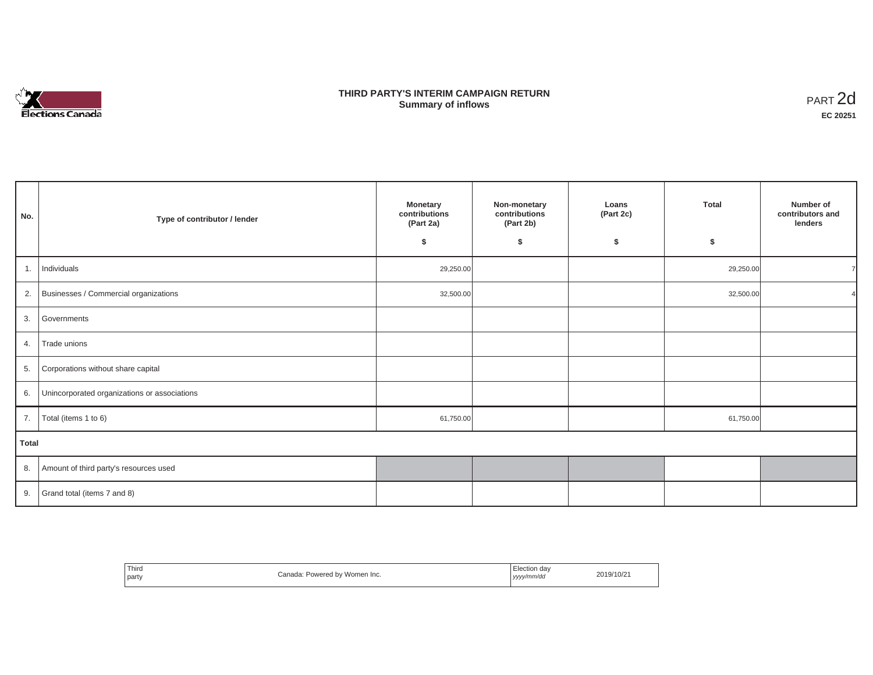

## **THIRD PARTY'S INTERIM CAMPAIGN RETURN SUMMARY STATE SUMMARY OF A SUMMARY OF A SUMMARY OF A SUMMARY OF A SUMMARY OF A SUMMARY OF A SUMMARY OF A SUMMA**<br> **Summary of inflows**

| No.   | Type of contributor / lender                    | <b>Monetary</b><br>contributions<br>(Part 2a)<br>\$ | Non-monetary<br>contributions<br>(Part 2b)<br>\$ | Loans<br>(Part 2c)<br>\$ | <b>Total</b><br>\$ | Number of<br>contributors and<br>lenders |
|-------|-------------------------------------------------|-----------------------------------------------------|--------------------------------------------------|--------------------------|--------------------|------------------------------------------|
| 1.    | Individuals                                     | 29,250.00                                           |                                                  |                          | 29,250.00          |                                          |
|       | 2. Businesses / Commercial organizations        | 32,500.00                                           |                                                  |                          | 32,500.00          |                                          |
| 3.    | Governments                                     |                                                     |                                                  |                          |                    |                                          |
| 4.    | Trade unions                                    |                                                     |                                                  |                          |                    |                                          |
|       | 5. Corporations without share capital           |                                                     |                                                  |                          |                    |                                          |
|       | 6. Unincorporated organizations or associations |                                                     |                                                  |                          |                    |                                          |
| 7.    | Total (items 1 to 6)                            | 61,750.00                                           |                                                  |                          | 61,750.00          |                                          |
| Total |                                                 |                                                     |                                                  |                          |                    |                                          |
|       | 8. Amount of third party's resources used       |                                                     |                                                  |                          |                    |                                          |
|       | 9. Grand total (items $7$ and $8$ )             |                                                     |                                                  |                          |                    |                                          |

| Third<br>party | Canada: Powered by Women Inc. | Election day<br>yyyy/mm/dd | 2019/10/21 |
|----------------|-------------------------------|----------------------------|------------|
|----------------|-------------------------------|----------------------------|------------|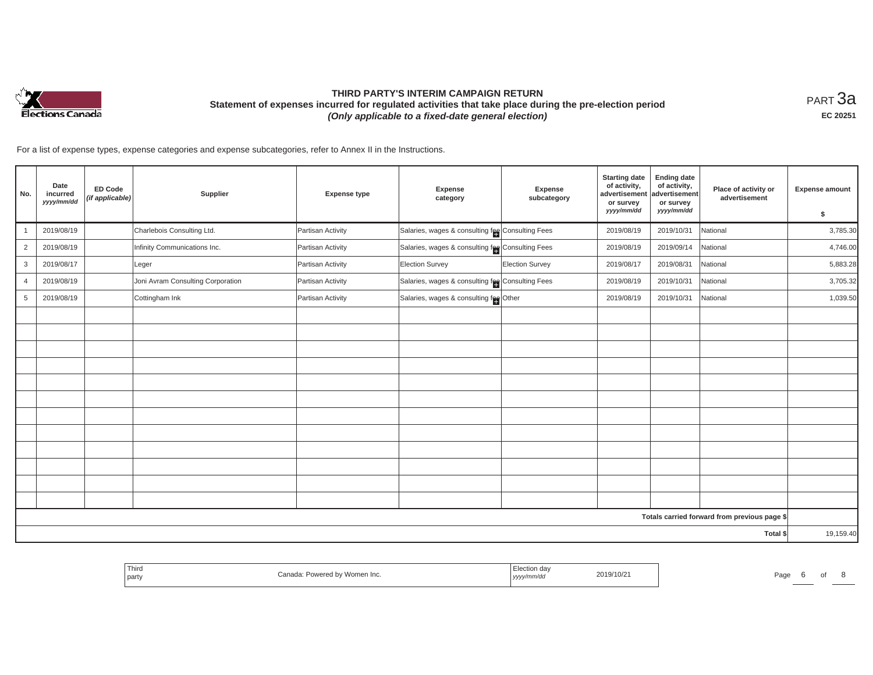

# **THIRD PARTY'S INTERIM CAMPAIGN RETURN Statement of expenses incurred for regulated activities that take place during the pre-election period**  *(Only applicable to a fixed-date general election)*

<code>PART $3$ a</code> **EC 20251**

For a list of expense types, expense categories and expense subcategories, refer to Annex II in the Instructions.

| No.            | Date<br>incurred<br>yyyy/mm/dd | <b>ED Code</b><br>(if applicable) | Supplier                          | <b>Expense type</b> | <b>Expense</b><br>category                        | <b>Expense</b><br>subcategory | <b>Starting date</b><br>of activity,<br>advertisement<br>or survey<br>yyyy/mm/dd | <b>Ending date</b><br>of activity,<br>advertisement<br>or survey<br>yyyy/mm/dd | Place of activity or<br>advertisement        | <b>Expense amount</b><br>\$ |
|----------------|--------------------------------|-----------------------------------|-----------------------------------|---------------------|---------------------------------------------------|-------------------------------|----------------------------------------------------------------------------------|--------------------------------------------------------------------------------|----------------------------------------------|-----------------------------|
| $\mathbf{1}$   | 2019/08/19                     |                                   | Charlebois Consulting Ltd.        | Partisan Activity   | Salaries, wages & consulting fee Consulting Fees  |                               | 2019/08/19                                                                       | 2019/10/31                                                                     | National                                     | 3,785.30                    |
| $\overline{c}$ | 2019/08/19                     |                                   | Infinity Communications Inc.      | Partisan Activity   | Salaries, wages & consulting feel Consulting Fees |                               | 2019/08/19                                                                       | 2019/09/14                                                                     | National                                     | 4,746.00                    |
| 3              | 2019/08/17                     |                                   | Leger                             | Partisan Activity   | <b>Election Survey</b>                            | Election Survey               | 2019/08/17                                                                       | 2019/08/31                                                                     | National                                     | 5,883.28                    |
| $\overline{4}$ | 2019/08/19                     |                                   | Joni Avram Consulting Corporation | Partisan Activity   | Salaries, wages & consulting fee Consulting Fees  |                               | 2019/08/19                                                                       | 2019/10/31                                                                     | National                                     | 3,705.32                    |
| $\overline{5}$ | 2019/08/19                     |                                   | Cottingham Ink                    | Partisan Activity   | Salaries, wages & consulting fee Other            |                               | 2019/08/19                                                                       | 2019/10/31                                                                     | National                                     | 1,039.50                    |
|                |                                |                                   |                                   |                     |                                                   |                               |                                                                                  |                                                                                |                                              |                             |
|                |                                |                                   |                                   |                     |                                                   |                               |                                                                                  |                                                                                |                                              |                             |
|                |                                |                                   |                                   |                     |                                                   |                               |                                                                                  |                                                                                |                                              |                             |
|                |                                |                                   |                                   |                     |                                                   |                               |                                                                                  |                                                                                |                                              |                             |
|                |                                |                                   |                                   |                     |                                                   |                               |                                                                                  |                                                                                |                                              |                             |
|                |                                |                                   |                                   |                     |                                                   |                               |                                                                                  |                                                                                |                                              |                             |
|                |                                |                                   |                                   |                     |                                                   |                               |                                                                                  |                                                                                |                                              |                             |
|                |                                |                                   |                                   |                     |                                                   |                               |                                                                                  |                                                                                |                                              |                             |
|                |                                |                                   |                                   |                     |                                                   |                               |                                                                                  |                                                                                |                                              |                             |
|                |                                |                                   |                                   |                     |                                                   |                               |                                                                                  |                                                                                |                                              |                             |
|                |                                |                                   |                                   |                     |                                                   |                               |                                                                                  |                                                                                |                                              |                             |
|                |                                |                                   |                                   |                     |                                                   |                               |                                                                                  |                                                                                |                                              |                             |
|                |                                |                                   |                                   |                     |                                                   |                               |                                                                                  |                                                                                | Totals carried forward from previous page \$ |                             |
|                |                                |                                   |                                   |                     |                                                   |                               |                                                                                  |                                                                                | Total \$                                     | 19,159.40                   |

| Third<br>71 IIIU.<br>  part<br>,,,,, | 2019/10/21<br>Pag |
|--------------------------------------|-------------------|
|--------------------------------------|-------------------|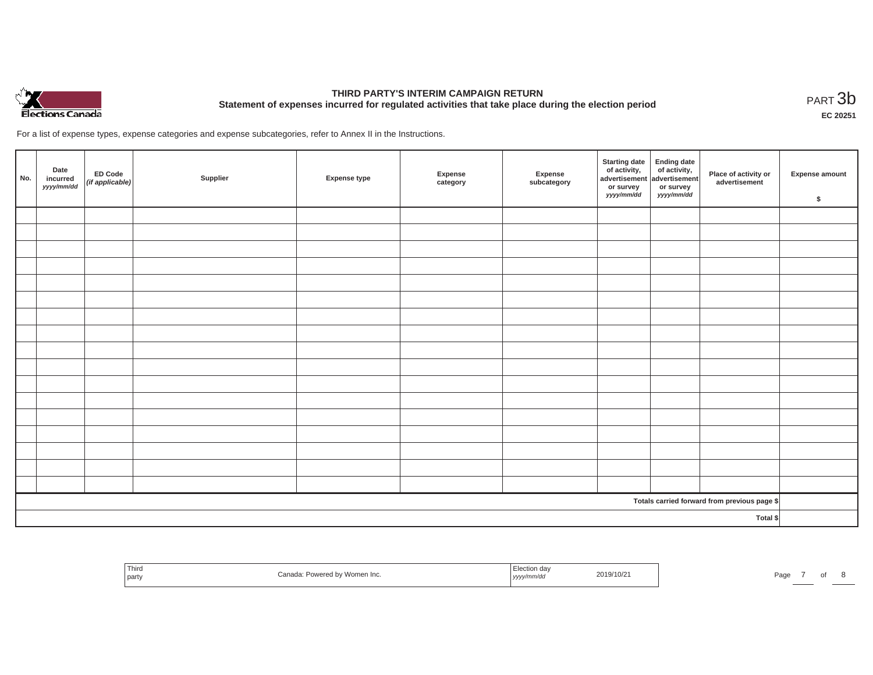

# **THIRD PARTY'S INTERIM CAMPAIGN RETURN Statement of expenses incurred for regulated activities that take place during the election period**<br>РАRТ  $3\text{b}$

**EC 20251**

For a list of expense types, expense categories and expense subcategories, refer to Annex II in the Instructions.

| No.      | Date<br>incurred<br>yyyy/mm/dd | ED Code<br>(if applicable) | Supplier | <b>Expense type</b> | Expense<br>category | Expense<br>subcategory | Starting date<br>of activity,<br>advertisement<br>or survey<br>yyyy/mm/dd | Ending date<br>of activity,<br>advertisement<br>or survey<br>yyyy/mm/dd | Place of activity or<br>advertisement        | Expense amount<br>\$ |
|----------|--------------------------------|----------------------------|----------|---------------------|---------------------|------------------------|---------------------------------------------------------------------------|-------------------------------------------------------------------------|----------------------------------------------|----------------------|
|          |                                |                            |          |                     |                     |                        |                                                                           |                                                                         |                                              |                      |
|          |                                |                            |          |                     |                     |                        |                                                                           |                                                                         |                                              |                      |
|          |                                |                            |          |                     |                     |                        |                                                                           |                                                                         |                                              |                      |
|          |                                |                            |          |                     |                     |                        |                                                                           |                                                                         |                                              |                      |
|          |                                |                            |          |                     |                     |                        |                                                                           |                                                                         |                                              |                      |
|          |                                |                            |          |                     |                     |                        |                                                                           |                                                                         |                                              |                      |
|          |                                |                            |          |                     |                     |                        |                                                                           |                                                                         |                                              |                      |
|          |                                |                            |          |                     |                     |                        |                                                                           |                                                                         |                                              |                      |
|          |                                |                            |          |                     |                     |                        |                                                                           |                                                                         |                                              |                      |
|          |                                |                            |          |                     |                     |                        |                                                                           |                                                                         |                                              |                      |
|          |                                |                            |          |                     |                     |                        |                                                                           |                                                                         |                                              |                      |
|          |                                |                            |          |                     |                     |                        |                                                                           |                                                                         |                                              |                      |
|          |                                |                            |          |                     |                     |                        |                                                                           |                                                                         |                                              |                      |
|          |                                |                            |          |                     |                     |                        |                                                                           |                                                                         |                                              |                      |
|          |                                |                            |          |                     |                     |                        |                                                                           |                                                                         |                                              |                      |
|          |                                |                            |          |                     |                     |                        |                                                                           |                                                                         |                                              |                      |
|          |                                |                            |          |                     |                     |                        |                                                                           |                                                                         |                                              |                      |
|          |                                |                            |          |                     |                     |                        |                                                                           |                                                                         | Totals carried forward from previous page \$ |                      |
| Total \$ |                                |                            |          |                     |                     |                        |                                                                           |                                                                         |                                              |                      |

| Third<br>the control of the con-<br>party | Women Inc.<br>∽owerea ov<br>$-$ | "n de<br>шсышл чач<br>, yyyy/mm/aa | 2019/10/2 | Page |  |  |  |
|-------------------------------------------|---------------------------------|------------------------------------|-----------|------|--|--|--|
|-------------------------------------------|---------------------------------|------------------------------------|-----------|------|--|--|--|